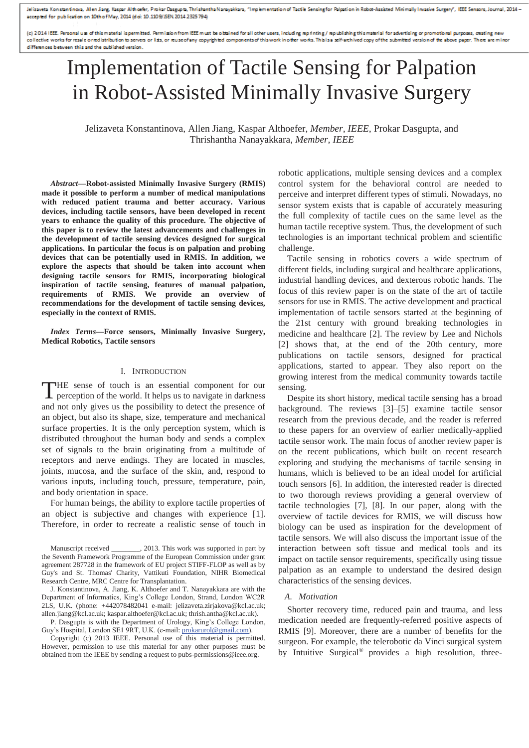Jelizaveta Konstantinova, Alen Jiang, Kaspar Althoefer, Prokar Dasgupta, Thrishantha Nanayakkara, "Implementation of Tactile Sensing for Palpation in Robot-Assisted Minimally Invasive Surgery", IEEE Sensors, Journal, 2014 accepted for publication on 10th of May, 2014 (doi: 10.1109/JSEN.2014 2325 794)

collective works for resale or redistribution to servers or lists, or reuse of any copyrighted components of this work in other works. This is a self-archived copy of the submitted version of the above paper. There are min differences between this and the published version.

# Implementation of Tactile Sensing for Palpation in Robot-Assisted Minimally Invasive Surgery

Jelizaveta Konstantinova, Allen Jiang, Kaspar Althoefer, *Member, IEEE,* Prokar Dasgupta, and Thrishantha Nanayakkara, *Member, IEEE*

*Abstract***—Robot-assisted Minimally Invasive Surgery (RMIS) made it possible to perform a number of medical manipulations with reduced patient trauma and better accuracy. Various devices, including tactile sensors, have been developed in recent years to enhance the quality of this procedure. The objective of this paper is to review the latest advancements and challenges in the development of tactile sensing devices designed for surgical applications. In particular the focus is on palpation and probing devices that can be potentially used in RMIS. In addition, we explore the aspects that should be taken into account when designing tactile sensors for RMIS, incorporating biological inspiration of tactile sensing, features of manual palpation, requirements of RMIS. We provide an overview of recommendations for the development of tactile sensing devices, especially in the context of RMIS.** 

*Index Terms***—Force sensors, Minimally Invasive Surgery, Medical Robotics, Tactile sensors** 

#### I. INTRODUCTION

THE sense of touch is an essential component for our perception of the world. It helps us to navigate in darkness perception of the world. It helps us to navigate in darkness and not only gives us the possibility to detect the presence of an object, but also its shape, size, temperature and mechanical surface properties. It is the only perception system, which is distributed throughout the human body and sends a complex set of signals to the brain originating from a multitude of receptors and nerve endings. They are located in muscles, joints, mucosa, and the surface of the skin, and, respond to various inputs, including touch, pressure, temperature, pain, and body orientation in space.

For human beings, the ability to explore tactile properties of an object is subjective and changes with experience [1]. Therefore, in order to recreate a realistic sense of touch in robotic applications, multiple sensing devices and a complex control system for the behavioral control are needed to perceive and interpret different types of stimuli. Nowadays, no sensor system exists that is capable of accurately measuring the full complexity of tactile cues on the same level as the human tactile receptive system. Thus, the development of such technologies is an important technical problem and scientific challenge.

Tactile sensing in robotics covers a wide spectrum of different fields, including surgical and healthcare applications, industrial handling devices, and dexterous robotic hands. The focus of this review paper is on the state of the art of tactile sensors for use in RMIS. The active development and practical implementation of tactile sensors started at the beginning of the 21st century with ground breaking technologies in medicine and healthcare [2]. The review by Lee and Nichols [2] shows that, at the end of the 20th century, more publications on tactile sensors, designed for practical applications, started to appear. They also report on the growing interest from the medical community towards tactile sensing.

Despite its short history, medical tactile sensing has a broad background. The reviews [3]–[5] examine tactile sensor research from the previous decade, and the reader is referred to these papers for an overview of earlier medically-applied tactile sensor work. The main focus of another review paper is on the recent publications, which built on recent research exploring and studying the mechanisms of tactile sensing in humans, which is believed to be an ideal model for artificial touch sensors [6]. In addition, the interested reader is directed to two thorough reviews providing a general overview of tactile technologies [7], [8]. In our paper, along with the overview of tactile devices for RMIS, we will discuss how biology can be used as inspiration for the development of tactile sensors. We will also discuss the important issue of the interaction between soft tissue and medical tools and its impact on tactile sensor requirements, specifically using tissue palpation as an example to understand the desired design characteristics of the sensing devices.

#### *A. Motivation*

Shorter recovery time, reduced pain and trauma, and less medication needed are frequently-referred positive aspects of RMIS [9]. Moreover, there are a number of benefits for the surgeon. For example, the telerobotic da Vinci surgical system by Intuitive Surgical® provides a high resolution, three-

Manuscript received \_\_\_\_\_\_\_, 2013. This work was supported in part by the Seventh Framework Programme of the European Commission under grant agreement 287728 in the framework of EU project STIFF-FLOP as well as by Guy's and St. Thomas' Charity, Vattikuti Foundation, NIHR Biomedical Research Centre, MRC Centre for Transplantation.

J. Konstantinova, A. Jiang, K. Althoefer and T. Nanayakkara are with the Department of Informatics, King's College London, Strand, London WC2R 2LS, U.K. (phone: +442078482041 e-mail: jelizaveta.zirjakova@kcl.ac.uk; allen.jiang@kcl.ac.uk; kaspar.althoefer@kcl.ac.uk; thrish.antha@kcl.ac.uk).

P. Dasgupta is with the Department of Urology, King's College London, Guy's Hospital, London SE1 9RT, U.K. (e-mail: prokarurol@gmail.com).

Copyright (c) 2013 IEEE. Personal use of this material is permitted. However, permission to use this material for any other purposes must be obtained from the IEEE by sending a request to pubs-permissions@ieee.org.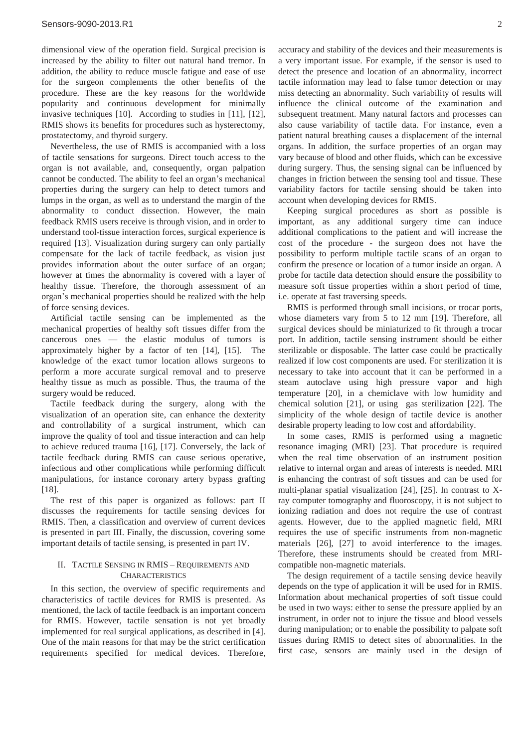dimensional view of the operation field. Surgical precision is increased by the ability to filter out natural hand tremor. In addition, the ability to reduce muscle fatigue and ease of use for the surgeon complements the other benefits of the procedure. These are the key reasons for the worldwide popularity and continuous development for minimally invasive techniques [10]. According to studies in [11], [12], RMIS shows its benefits for procedures such as hysterectomy, prostatectomy, and thyroid surgery.

Nevertheless, the use of RMIS is accompanied with a loss of tactile sensations for surgeons. Direct touch access to the organ is not available, and, consequently, organ palpation cannot be conducted. The ability to feel an organ's mechanical properties during the surgery can help to detect tumors and lumps in the organ, as well as to understand the margin of the abnormality to conduct dissection. However, the main feedback RMIS users receive is through vision, and in order to understand tool-tissue interaction forces, surgical experience is required [13]. Visualization during surgery can only partially compensate for the lack of tactile feedback, as vision just provides information about the outer surface of an organ; however at times the abnormality is covered with a layer of healthy tissue. Therefore, the thorough assessment of an organ's mechanical properties should be realized with the help of force sensing devices.

Artificial tactile sensing can be implemented as the mechanical properties of healthy soft tissues differ from the cancerous ones — the elastic modulus of tumors is approximately higher by a factor of ten [14], [15]. The knowledge of the exact tumor location allows surgeons to perform a more accurate surgical removal and to preserve healthy tissue as much as possible. Thus, the trauma of the surgery would be reduced.

Tactile feedback during the surgery, along with the visualization of an operation site, can enhance the dexterity and controllability of a surgical instrument, which can improve the quality of tool and tissue interaction and can help to achieve reduced trauma [16], [17]. Conversely, the lack of tactile feedback during RMIS can cause serious operative, infectious and other complications while performing difficult manipulations, for instance coronary artery bypass grafting [18].

The rest of this paper is organized as follows: part II discusses the requirements for tactile sensing devices for RMIS. Then, a classification and overview of current devices is presented in part III. Finally, the discussion, covering some important details of tactile sensing, is presented in part IV.

# II. TACTILE SENSING IN RMIS – REQUIREMENTS AND **CHARACTERISTICS**

In this section, the overview of specific requirements and characteristics of tactile devices for RMIS is presented. As mentioned, the lack of tactile feedback is an important concern for RMIS. However, tactile sensation is not yet broadly implemented for real surgical applications, as described in [4]. One of the main reasons for that may be the strict certification requirements specified for medical devices. Therefore,

accuracy and stability of the devices and their measurements is a very important issue. For example, if the sensor is used to detect the presence and location of an abnormality, incorrect tactile information may lead to false tumor detection or may miss detecting an abnormality. Such variability of results will influence the clinical outcome of the examination and subsequent treatment. Many natural factors and processes can also cause variability of tactile data. For instance, even a patient natural breathing causes a displacement of the internal organs. In addition, the surface properties of an organ may vary because of blood and other fluids, which can be excessive during surgery. Thus, the sensing signal can be influenced by changes in friction between the sensing tool and tissue. These variability factors for tactile sensing should be taken into account when developing devices for RMIS.

Keeping surgical procedures as short as possible is important, as any additional surgery time can induce additional complications to the patient and will increase the cost of the procedure - the surgeon does not have the possibility to perform multiple tactile scans of an organ to confirm the presence or location of a tumor inside an organ. A probe for tactile data detection should ensure the possibility to measure soft tissue properties within a short period of time, i.e. operate at fast traversing speeds.

RMIS is performed through small incisions, or trocar ports, whose diameters vary from 5 to 12 mm [19]. Therefore, all surgical devices should be miniaturized to fit through a trocar port. In addition, tactile sensing instrument should be either sterilizable or disposable. The latter case could be practically realized if low cost components are used. For sterilization it is necessary to take into account that it can be performed in a steam autoclave using high pressure vapor and high temperature [20], in a chemiclave with low humidity and chemical solution [21], or using gas sterilization [22]. The simplicity of the whole design of tactile device is another desirable property leading to low cost and affordability.

In some cases, RMIS is performed using a magnetic resonance imaging (MRI) [23]. That procedure is required when the real time observation of an instrument position relative to internal organ and areas of interests is needed. MRI is enhancing the contrast of soft tissues and can be used for multi-planar spatial visualization [24], [25]. In contrast to Xray computer tomography and fluoroscopy, it is not subject to ionizing radiation and does not require the use of contrast agents. However, due to the applied magnetic field, MRI requires the use of specific instruments from non-magnetic materials [26], [27] to avoid interference to the images. Therefore, these instruments should be created from MRIcompatible non-magnetic materials.

The design requirement of a tactile sensing device heavily depends on the type of application it will be used for in RMIS. Information about mechanical properties of soft tissue could be used in two ways: either to sense the pressure applied by an instrument, in order not to injure the tissue and blood vessels during manipulation; or to enable the possibility to palpate soft tissues during RMIS to detect sites of abnormalities. In the first case, sensors are mainly used in the design of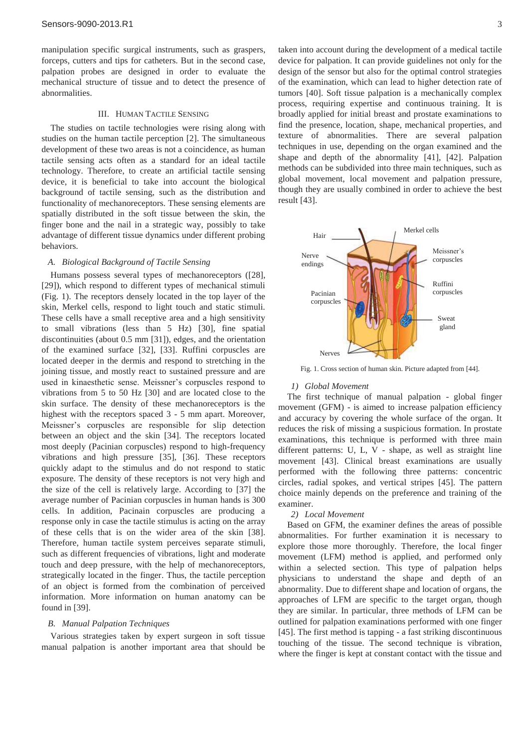manipulation specific surgical instruments, such as graspers, forceps, cutters and tips for catheters. But in the second case, palpation probes are designed in order to evaluate the mechanical structure of tissue and to detect the presence of abnormalities.

# III. HUMAN TACTILE SENSING

The studies on tactile technologies were rising along with studies on the human tactile perception [2]. The simultaneous development of these two areas is not a coincidence, as human tactile sensing acts often as a standard for an ideal tactile technology. Therefore, to create an artificial tactile sensing device, it is beneficial to take into account the biological background of tactile sensing, such as the distribution and functionality of mechanoreceptors. These sensing elements are spatially distributed in the soft tissue between the skin, the finger bone and the nail in a strategic way, possibly to take advantage of different tissue dynamics under different probing behaviors.

# *A. Biological Background of Tactile Sensing*

Humans possess several types of mechanoreceptors ([28], [29]), which respond to different types of mechanical stimuli (Fig. 1). The receptors densely located in the top layer of the skin, Merkel cells, respond to light touch and static stimuli. These cells have a small receptive area and a high sensitivity to small vibrations (less than 5 Hz) [30], fine spatial discontinuities (about 0.5 mm [31]), edges, and the orientation of the examined surface [32], [33]. Ruffini corpuscles are located deeper in the dermis and respond to stretching in the joining tissue, and mostly react to sustained pressure and are used in kinaesthetic sense. Meissner's corpuscles respond to vibrations from 5 to 50 Hz [30] and are located close to the skin surface. The density of these mechanoreceptors is the highest with the receptors spaced 3 - 5 mm apart. Moreover, Meissner's corpuscles are responsible for slip detection between an object and the skin [34]. The receptors located most deeply (Pacinian corpuscles) respond to high-frequency vibrations and high pressure [35], [36]. These receptors quickly adapt to the stimulus and do not respond to static exposure. The density of these receptors is not very high and the size of the cell is relatively large. According to [37] the average number of Pacinian corpuscles in human hands is 300 cells. In addition, Pacinain corpuscles are producing a response only in case the tactile stimulus is acting on the array of these cells that is on the wider area of the skin [38]. Therefore, human tactile system perceives separate stimuli, such as different frequencies of vibrations, light and moderate touch and deep pressure, with the help of mechanoreceptors, strategically located in the finger. Thus, the tactile perception of an object is formed from the combination of perceived information. More information on human anatomy can be found in [39].

# *B. Manual Palpation Techniques*

Various strategies taken by expert surgeon in soft tissue manual palpation is another important area that should be

taken into account during the development of a medical tactile device for palpation. It can provide guidelines not only for the design of the sensor but also for the optimal control strategies of the examination, which can lead to higher detection rate of tumors [40]. Soft tissue palpation is a mechanically complex process, requiring expertise and continuous training. It is broadly applied for initial breast and prostate examinations to find the presence, location, shape, mechanical properties, and texture of abnormalities. There are several palpation techniques in use, depending on the organ examined and the shape and depth of the abnormality [41], [42]. Palpation methods can be subdivided into three main techniques, such as global movement, local movement and palpation pressure, though they are usually combined in order to achieve the best result [43].



Fig. 1. Cross section of human skin. Picture adapted from [44].

# *1) Global Movement*

The first technique of manual palpation - global finger movement (GFM) - is aimed to increase palpation efficiency and accuracy by covering the whole surface of the organ. It reduces the risk of missing a suspicious formation. In prostate examinations, this technique is performed with three main different patterns: U, L, V - shape, as well as straight line movement [43]. Clinical breast examinations are usually performed with the following three patterns: concentric circles, radial spokes, and vertical stripes [45]. The pattern choice mainly depends on the preference and training of the examiner.

# *2) Local Movement*

Based on GFM, the examiner defines the areas of possible abnormalities. For further examination it is necessary to explore those more thoroughly. Therefore, the local finger movement (LFM) method is applied, and performed only within a selected section. This type of palpation helps physicians to understand the shape and depth of an abnormality. Due to different shape and location of organs, the approaches of LFM are specific to the target organ, though they are similar. In particular, three methods of LFM can be outlined for palpation examinations performed with one finger [45]. The first method is tapping - a fast striking discontinuous touching of the tissue. The second technique is vibration, where the finger is kept at constant contact with the tissue and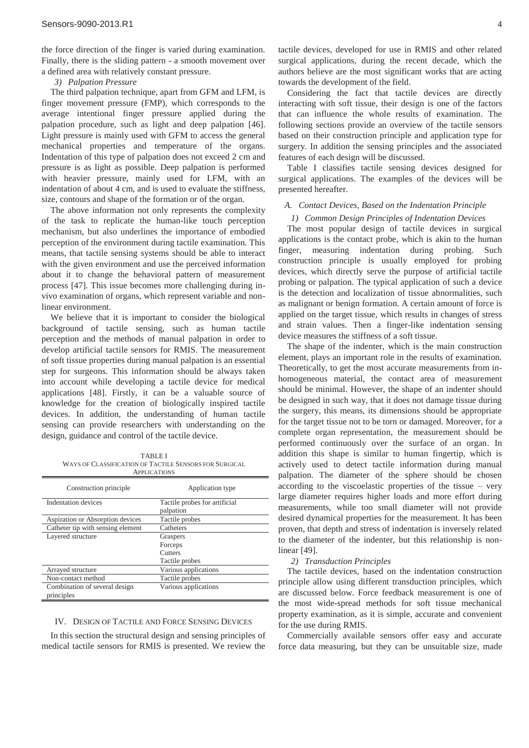the force direction of the finger is varied during examination. Finally, there is the sliding pattern - a smooth movement over a defined area with relatively constant pressure.

# *3) Palpation Pressure*

The third palpation technique, apart from GFM and LFM, is finger movement pressure (FMP), which corresponds to the average intentional finger pressure applied during the palpation procedure, such as light and deep palpation [46]. Light pressure is mainly used with GFM to access the general mechanical properties and temperature of the organs. Indentation of this type of palpation does not exceed 2 cm and pressure is as light as possible. Deep palpation is performed with heavier pressure, mainly used for LFM, with an indentation of about 4 cm, and is used to evaluate the stiffness, size, contours and shape of the formation or of the organ.

The above information not only represents the complexity of the task to replicate the human-like touch perception mechanism, but also underlines the importance of embodied perception of the environment during tactile examination. This means, that tactile sensing systems should be able to interact with the given environment and use the perceived information about it to change the behavioral pattern of measurement process [47]. This issue becomes more challenging during invivo examination of organs, which represent variable and nonlinear environment.

We believe that it is important to consider the biological background of tactile sensing, such as human tactile perception and the methods of manual palpation in order to develop artificial tactile sensors for RMIS. The measurement of soft tissue properties during manual palpation is an essential step for surgeons. This information should be always taken into account while developing a tactile device for medical applications [48]. Firstly, it can be a valuable source of knowledge for the creation of biologically inspired tactile devices. In addition, the understanding of human tactile sensing can provide researchers with understanding on the design, guidance and control of the tactile device.

TABLE I WAYS OF CLASSIFICATION OF TACTILE SENSORS FOR SURGICAL APPLICATIONS

| Construction principle            | Application type              |
|-----------------------------------|-------------------------------|
| Indentation devices               | Tactile probes for artificial |
|                                   | palpation                     |
| Aspiration or Absorption devices  | Tactile probes                |
| Catheter tip with sensing element | Catheters                     |
| Layered structure                 | Graspers                      |
|                                   | Forceps                       |
|                                   | Cutters                       |
|                                   | Tactile probes                |
| Arrayed structure                 | Various applications          |
| Non-contact method                | Tactile probes                |
| Combination of several design     | Various applications          |
| principles                        |                               |

#### IV. DESIGN OF TACTILE AND FORCE SENSING DEVICES

In this section the structural design and sensing principles of medical tactile sensors for RMIS is presented. We review the

tactile devices, developed for use in RMIS and other related surgical applications, during the recent decade, which the authors believe are the most significant works that are acting towards the development of the field.

Considering the fact that tactile devices are directly interacting with soft tissue, their design is one of the factors that can influence the whole results of examination. The following sections provide an overview of the tactile sensors based on their construction principle and application type for surgery. In addition the sensing principles and the associated features of each design will be discussed.

Table I classifies tactile sensing devices designed for surgical applications. The examples of the devices will be presented hereafter.

#### *A. Contact Devices, Based on the Indentation Principle*

#### *1) Common Design Principles of Indentation Devices*

The most popular design of tactile devices in surgical applications is the contact probe, which is akin to the human finger, measuring indentation during probing. Such construction principle is usually employed for probing devices, which directly serve the purpose of artificial tactile probing or palpation. The typical application of such a device is the detection and localization of tissue abnormalities, such as malignant or benign formation. A certain amount of force is applied on the target tissue, which results in changes of stress and strain values. Then a finger-like indentation sensing device measures the stiffness of a soft tissue.

The shape of the indenter, which is the main construction element, plays an important role in the results of examination. Theoretically, to get the most accurate measurements from inhomogeneous material, the contact area of measurement should be minimal. However, the shape of an indenter should be designed in such way, that it does not damage tissue during the surgery, this means, its dimensions should be appropriate for the target tissue not to be torn or damaged. Moreover, for a complete organ representation, the measurement should be performed continuously over the surface of an organ. In addition this shape is similar to human fingertip, which is actively used to detect tactile information during manual palpation. The diameter of the sphere should be chosen according to the viscoelastic properties of the tissue – very large diameter requires higher loads and more effort during measurements, while too small diameter will not provide desired dynamical properties for the measurement. It has been proven, that depth and stress of indentation is inversely related to the diameter of the indenter, but this relationship is nonlinear [49].

#### *2) Transduction Principles*

The tactile devices, based on the indentation construction principle allow using different transduction principles, which are discussed below. Force feedback measurement is one of the most wide-spread methods for soft tissue mechanical property examination, as it is simple, accurate and convenient for the use during RMIS.

Commercially available sensors offer easy and accurate force data measuring, but they can be unsuitable size, made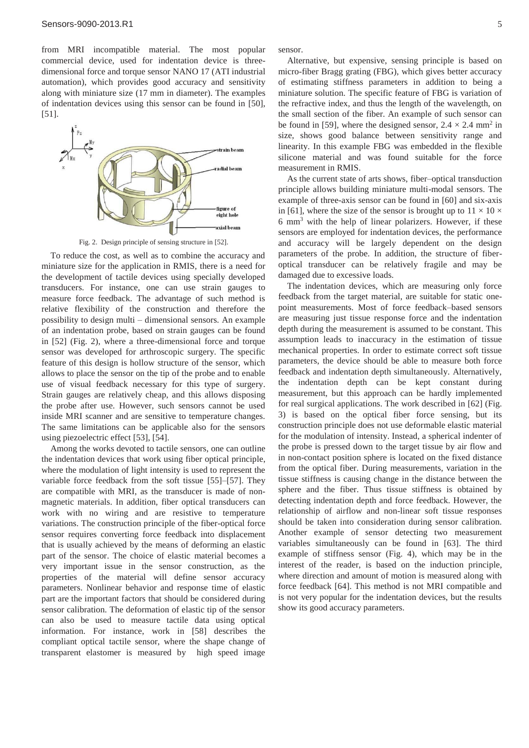from MRI incompatible material. The most popular commercial device, used for indentation device is threedimensional force and torque sensor NANO 17 (ATI industrial automation), which provides good accuracy and sensitivity along with miniature size (17 mm in diameter). The examples of indentation devices using this sensor can be found in [50], [51].



Fig. 2. Design principle of sensing structure in [52].

To reduce the cost, as well as to combine the accuracy and miniature size for the application in RMIS, there is a need for the development of tactile devices using specially developed transducers. For instance, one can use strain gauges to measure force feedback. The advantage of such method is relative flexibility of the construction and therefore the possibility to design multi – dimensional sensors. An example of an indentation probe, based on strain gauges can be found in [52] (Fig. 2), where a three-dimensional force and torque sensor was developed for arthroscopic surgery. The specific feature of this design is hollow structure of the sensor, which allows to place the sensor on the tip of the probe and to enable use of visual feedback necessary for this type of surgery. Strain gauges are relatively cheap, and this allows disposing the probe after use. However, such sensors cannot be used inside MRI scanner and are sensitive to temperature changes. The same limitations can be applicable also for the sensors using piezoelectric effect [53], [54].

Among the works devoted to tactile sensors, one can outline the indentation devices that work using fiber optical principle, where the modulation of light intensity is used to represent the variable force feedback from the soft tissue [55]–[57]. They are compatible with MRI, as the transducer is made of nonmagnetic materials. In addition, fiber optical transducers can work with no wiring and are resistive to temperature variations. The construction principle of the fiber-optical force sensor requires converting force feedback into displacement that is usually achieved by the means of deforming an elastic part of the sensor. The choice of elastic material becomes a very important issue in the sensor construction, as the properties of the material will define sensor accuracy parameters. Nonlinear behavior and response time of elastic part are the important factors that should be considered during sensor calibration. The deformation of elastic tip of the sensor can also be used to measure tactile data using optical information. For instance, work in [58] describes the compliant optical tactile sensor, where the shape change of transparent elastomer is measured by high speed image sensor.

Alternative, but expensive, sensing principle is based on micro-fiber Bragg grating (FBG), which gives better accuracy of estimating stiffness parameters in addition to being a miniature solution. The specific feature of FBG is variation of the refractive index, and thus the length of the wavelength, on the small section of the fiber. An example of such sensor can be found in [59], where the designed sensor,  $2.4 \times 2.4$  mm<sup>2</sup> in size, shows good balance between sensitivity range and linearity. In this example FBG was embedded in the flexible silicone material and was found suitable for the force measurement in RMIS.

As the current state of arts shows, fiber–optical transduction principle allows building miniature multi-modal sensors. The example of three-axis sensor can be found in [60] and six-axis in [61], where the size of the sensor is brought up to  $11 \times 10 \times$ 6 mm3 with the help of linear polarizers. However, if these sensors are employed for indentation devices, the performance and accuracy will be largely dependent on the design parameters of the probe. In addition, the structure of fiberoptical transducer can be relatively fragile and may be damaged due to excessive loads.

The indentation devices, which are measuring only force feedback from the target material, are suitable for static onepoint measurements. Most of force feedback–based sensors are measuring just tissue response force and the indentation depth during the measurement is assumed to be constant. This assumption leads to inaccuracy in the estimation of tissue mechanical properties. In order to estimate correct soft tissue parameters, the device should be able to measure both force feedback and indentation depth simultaneously. Alternatively, the indentation depth can be kept constant during measurement, but this approach can be hardly implemented for real surgical applications. The work described in [62] (Fig. 3) is based on the optical fiber force sensing, but its construction principle does not use deformable elastic material for the modulation of intensity. Instead, a spherical indenter of the probe is pressed down to the target tissue by air flow and in non-contact position sphere is located on the fixed distance from the optical fiber. During measurements, variation in the tissue stiffness is causing change in the distance between the sphere and the fiber. Thus tissue stiffness is obtained by detecting indentation depth and force feedback. However, the relationship of airflow and non-linear soft tissue responses should be taken into consideration during sensor calibration. Another example of sensor detecting two measurement variables simultaneously can be found in [63]. The third example of stiffness sensor (Fig. 4), which may be in the interest of the reader, is based on the induction principle, where direction and amount of motion is measured along with force feedback [64]. This method is not MRI compatible and is not very popular for the indentation devices, but the results show its good accuracy parameters.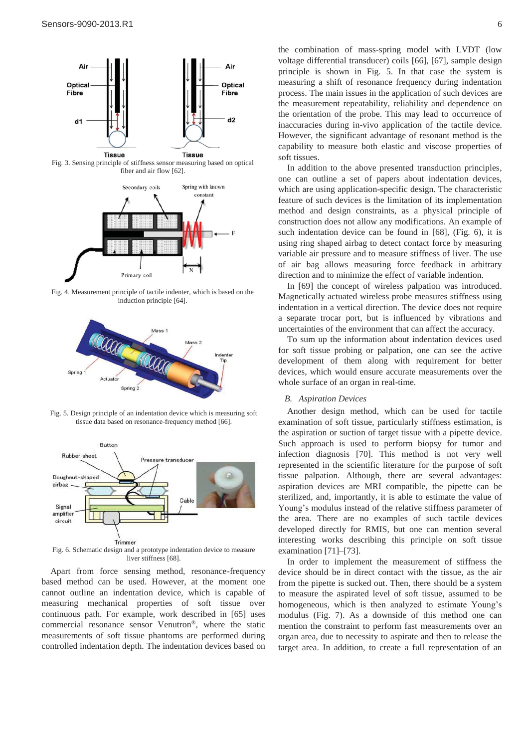

Fig. 3. Sensing principle of stiffness sensor measuring based on optical fiber and air flow [62].



Fig. 4. Measurement principle of tactile indenter, which is based on the induction principle [64].



Fig. 5. Design principle of an indentation device which is measuring soft tissue data based on resonance-frequency method [66].



liver stiffness [68].

Apart from force sensing method, resonance-frequency based method can be used. However, at the moment one cannot outline an indentation device, which is capable of measuring mechanical properties of soft tissue over continuous path. For example, work described in [65] uses commercial resonance sensor Venutron®, where the static measurements of soft tissue phantoms are performed during controlled indentation depth. The indentation devices based on

the combination of mass-spring model with LVDT (low voltage differential transducer) coils [66], [67], sample design principle is shown in Fig. 5. In that case the system is measuring a shift of resonance frequency during indentation process. The main issues in the application of such devices are the measurement repeatability, reliability and dependence on the orientation of the probe. This may lead to occurrence of inaccuracies during in-vivo application of the tactile device. However, the significant advantage of resonant method is the capability to measure both elastic and viscose properties of soft tissues.

In addition to the above presented transduction principles, one can outline a set of papers about indentation devices, which are using application-specific design. The characteristic feature of such devices is the limitation of its implementation method and design constraints, as a physical principle of construction does not allow any modifications. An example of such indentation device can be found in [68], (Fig. 6), it is using ring shaped airbag to detect contact force by measuring variable air pressure and to measure stiffness of liver. The use of air bag allows measuring force feedback in arbitrary direction and to minimize the effect of variable indention.

In [69] the concept of wireless palpation was introduced. Magnetically actuated wireless probe measures stiffness using indentation in a vertical direction. The device does not require a separate trocar port, but is influenced by vibrations and uncertainties of the environment that can affect the accuracy.

To sum up the information about indentation devices used for soft tissue probing or palpation, one can see the active development of them along with requirement for better devices, which would ensure accurate measurements over the whole surface of an organ in real-time.

#### *B. Aspiration Devices*

Another design method, which can be used for tactile examination of soft tissue, particularly stiffness estimation, is the aspiration or suction of target tissue with a pipette device. Such approach is used to perform biopsy for tumor and infection diagnosis [70]. This method is not very well represented in the scientific literature for the purpose of soft tissue palpation. Although, there are several advantages: aspiration devices are MRI compatible, the pipette can be sterilized, and, importantly, it is able to estimate the value of Young's modulus instead of the relative stiffness parameter of the area. There are no examples of such tactile devices developed directly for RMIS, but one can mention several interesting works describing this principle on soft tissue examination [71]–[73].

In order to implement the measurement of stiffness the device should be in direct contact with the tissue, as the air from the pipette is sucked out. Then, there should be a system to measure the aspirated level of soft tissue, assumed to be homogeneous, which is then analyzed to estimate Young's modulus (Fig. 7). As a downside of this method one can mention the constraint to perform fast measurements over an organ area, due to necessity to aspirate and then to release the target area. In addition, to create a full representation of an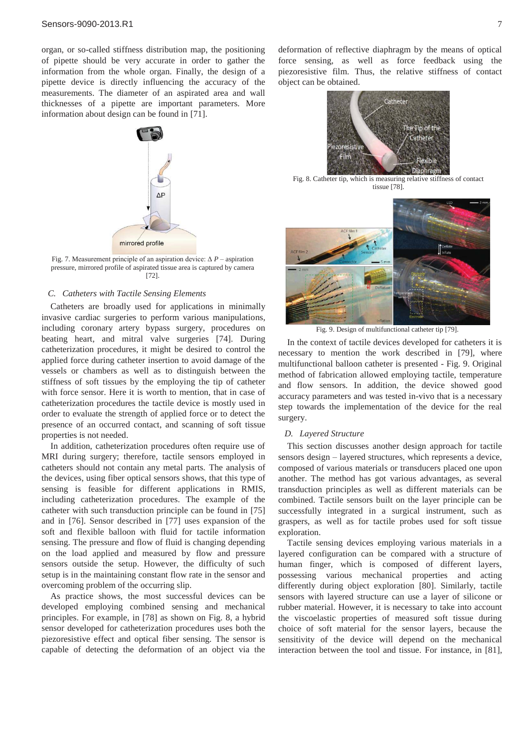organ, or so-called stiffness distribution map, the positioning of pipette should be very accurate in order to gather the information from the whole organ. Finally, the design of a pipette device is directly influencing the accuracy of the measurements. The diameter of an aspirated area and wall thicknesses of a pipette are important parameters. More information about design can be found in [71].



Fig. 7. Measurement principle of an aspiration device:  $\Delta P$  – aspiration pressure, mirrored profile of aspirated tissue area is captured by camera [72].

#### *C. Catheters with Tactile Sensing Elements*

Catheters are broadly used for applications in minimally invasive cardiac surgeries to perform various manipulations, including coronary artery bypass surgery, procedures on beating heart, and mitral valve surgeries [74]. During catheterization procedures, it might be desired to control the applied force during catheter insertion to avoid damage of the vessels or chambers as well as to distinguish between the stiffness of soft tissues by the employing the tip of catheter with force sensor. Here it is worth to mention, that in case of catheterization procedures the tactile device is mostly used in order to evaluate the strength of applied force or to detect the presence of an occurred contact, and scanning of soft tissue properties is not needed.

In addition, catheterization procedures often require use of MRI during surgery; therefore, tactile sensors employed in catheters should not contain any metal parts. The analysis of the devices, using fiber optical sensors shows, that this type of sensing is feasible for different applications in RMIS, including catheterization procedures. The example of the catheter with such transduction principle can be found in [75] and in [76]. Sensor described in [77] uses expansion of the soft and flexible balloon with fluid for tactile information sensing. The pressure and flow of fluid is changing depending on the load applied and measured by flow and pressure sensors outside the setup. However, the difficulty of such setup is in the maintaining constant flow rate in the sensor and overcoming problem of the occurring slip.

As practice shows, the most successful devices can be developed employing combined sensing and mechanical principles. For example, in [78] as shown on Fig. 8, a hybrid sensor developed for catheterization procedures uses both the piezoresistive effect and optical fiber sensing. The sensor is capable of detecting the deformation of an object via the

deformation of reflective diaphragm by the means of optical force sensing, as well as force feedback using the piezoresistive film. Thus, the relative stiffness of contact object can be obtained.



Fig. 8. Catheter tip, which is measuring relative stiffness of contact tissue [78].



Fig. 9. Design of multifunctional catheter tip [79].

In the context of tactile devices developed for catheters it is necessary to mention the work described in [79], where multifunctional balloon catheter is presented - Fig. 9. Original method of fabrication allowed employing tactile, temperature and flow sensors. In addition, the device showed good accuracy parameters and was tested in-vivo that is a necessary step towards the implementation of the device for the real surgery.

# *D. Layered Structure*

This section discusses another design approach for tactile sensors design – layered structures, which represents a device, composed of various materials or transducers placed one upon another. The method has got various advantages, as several transduction principles as well as different materials can be combined. Tactile sensors built on the layer principle can be successfully integrated in a surgical instrument, such as graspers, as well as for tactile probes used for soft tissue exploration.

Tactile sensing devices employing various materials in a layered configuration can be compared with a structure of human finger, which is composed of different layers, possessing various mechanical properties and acting differently during object exploration [80]. Similarly, tactile sensors with layered structure can use a layer of silicone or rubber material. However, it is necessary to take into account the viscoelastic properties of measured soft tissue during choice of soft material for the sensor layers, because the sensitivity of the device will depend on the mechanical interaction between the tool and tissue. For instance, in [81],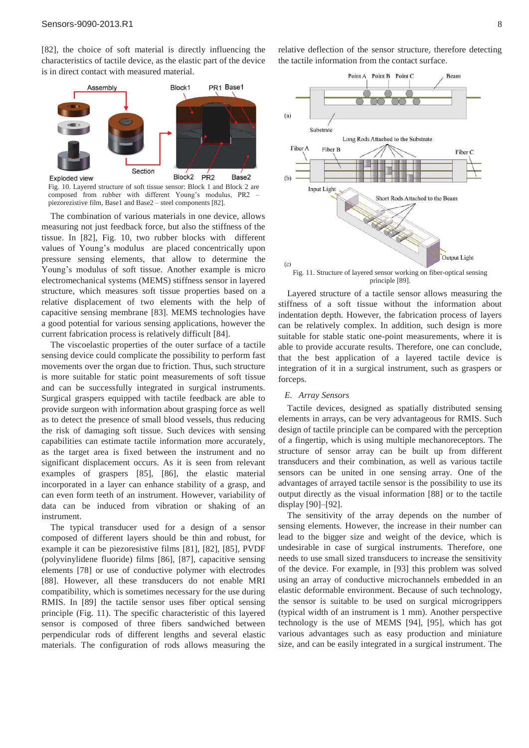[82], the choice of soft material is directly influencing the characteristics of tactile device, as the elastic part of the device is in direct contact with measured material.



Fig. 10. Layered structure of soft tissue sensor: Block 1 and Block 2 are composed from rubber with different Young's modulus, PR2 – piezorezistive film, Base1 and Base2 – steel components [82].

The combination of various materials in one device, allows measuring not just feedback force, but also the stiffness of the tissue. In [82], Fig. 10, two rubber blocks with different values of Young's modulus are placed concentrically upon pressure sensing elements, that allow to determine the Young's modulus of soft tissue. Another example is micro electromechanical systems (MEMS) stiffness sensor in layered structure, which measures soft tissue properties based on a relative displacement of two elements with the help of capacitive sensing membrane [83]. MEMS technologies have a good potential for various sensing applications, however the current fabrication process is relatively difficult [84].

The viscoelastic properties of the outer surface of a tactile sensing device could complicate the possibility to perform fast movements over the organ due to friction. Thus, such structure is more suitable for static point measurements of soft tissue and can be successfully integrated in surgical instruments. Surgical graspers equipped with tactile feedback are able to provide surgeon with information about grasping force as well as to detect the presence of small blood vessels, thus reducing the risk of damaging soft tissue. Such devices with sensing capabilities can estimate tactile information more accurately, as the target area is fixed between the instrument and no significant displacement occurs. As it is seen from relevant examples of graspers [85], [86], the elastic material incorporated in a layer can enhance stability of a grasp, and can even form teeth of an instrument. However, variability of data can be induced from vibration or shaking of an instrument.

The typical transducer used for a design of a sensor composed of different layers should be thin and robust, for example it can be piezoresistive films [81], [82], [85], PVDF (polyvinylidene fluoride) films [86], [87], capacitive sensing elements [78] or use of conductive polymer with electrodes [88]. However, all these transducers do not enable MRI compatibility, which is sometimes necessary for the use during RMIS. In [89] the tactile sensor uses fiber optical sensing principle (Fig. 11). The specific characteristic of this layered sensor is composed of three fibers sandwiched between perpendicular rods of different lengths and several elastic materials. The configuration of rods allows measuring the

relative deflection of the sensor structure, therefore detecting the tactile information from the contact surface.



Fig. 11. Structure of layered sensor working on fiber-optical sensing principle [89].

Layered structure of a tactile sensor allows measuring the stiffness of a soft tissue without the information about indentation depth. However, the fabrication process of layers can be relatively complex. In addition, such design is more suitable for stable static one-point measurements, where it is able to provide accurate results. Therefore, one can conclude, that the best application of a layered tactile device is integration of it in a surgical instrument, such as graspers or forceps.

# *E. Array Sensors*

Tactile devices, designed as spatially distributed sensing elements in arrays, can be very advantageous for RMIS. Such design of tactile principle can be compared with the perception of a fingertip, which is using multiple mechanoreceptors. The structure of sensor array can be built up from different transducers and their combination, as well as various tactile sensors can be united in one sensing array. One of the advantages of arrayed tactile sensor is the possibility to use its output directly as the visual information [88] or to the tactile display [90]–[92].

The sensitivity of the array depends on the number of sensing elements. However, the increase in their number can lead to the bigger size and weight of the device, which is undesirable in case of surgical instruments. Therefore, one needs to use small sized transducers to increase the sensitivity of the device. For example, in [93] this problem was solved using an array of conductive microchannels embedded in an elastic deformable environment. Because of such technology, the sensor is suitable to be used on surgical microgrippers (typical width of an instrument is 1 mm). Another perspective technology is the use of MEMS [94], [95], which has got various advantages such as easy production and miniature size, and can be easily integrated in a surgical instrument. The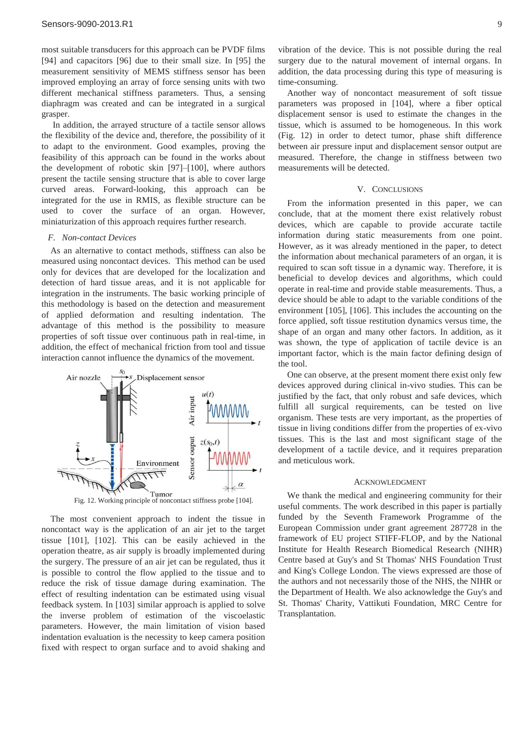most suitable transducers for this approach can be PVDF films [94] and capacitors [96] due to their small size. In [95] the measurement sensitivity of MEMS stiffness sensor has been improved employing an array of force sensing units with two different mechanical stiffness parameters. Thus, a sensing diaphragm was created and can be integrated in a surgical grasper.

 In addition, the arrayed structure of a tactile sensor allows the flexibility of the device and, therefore, the possibility of it to adapt to the environment. Good examples, proving the feasibility of this approach can be found in the works about the development of robotic skin [97]–[100], where authors present the tactile sensing structure that is able to cover large curved areas. Forward-looking, this approach can be integrated for the use in RMIS, as flexible structure can be used to cover the surface of an organ. However, miniaturization of this approach requires further research.

# *F. Non-contact Devices*

As an alternative to contact methods, stiffness can also be measured using noncontact devices. This method can be used only for devices that are developed for the localization and detection of hard tissue areas, and it is not applicable for integration in the instruments. The basic working principle of this methodology is based on the detection and measurement of applied deformation and resulting indentation. The advantage of this method is the possibility to measure properties of soft tissue over continuous path in real-time, in addition, the effect of mechanical friction from tool and tissue interaction cannot influence the dynamics of the movement.



Fig. 12. Working principle of noncontact stiffness probe [104].

The most convenient approach to indent the tissue in noncontact way is the application of an air jet to the target tissue [101], [102]. This can be easily achieved in the operation theatre, as air supply is broadly implemented during the surgery. The pressure of an air jet can be regulated, thus it is possible to control the flow applied to the tissue and to reduce the risk of tissue damage during examination. The effect of resulting indentation can be estimated using visual feedback system. In [103] similar approach is applied to solve the inverse problem of estimation of the viscoelastic parameters. However, the main limitation of vision based indentation evaluation is the necessity to keep camera position fixed with respect to organ surface and to avoid shaking and

Another way of noncontact measurement of soft tissue parameters was proposed in [104], where a fiber optical displacement sensor is used to estimate the changes in the tissue, which is assumed to be homogeneous. In this work (Fig. 12) in order to detect tumor, phase shift difference between air pressure input and displacement sensor output are measured. Therefore, the change in stiffness between two measurements will be detected.

# V. CONCLUSIONS

From the information presented in this paper, we can conclude, that at the moment there exist relatively robust devices, which are capable to provide accurate tactile information during static measurements from one point. However, as it was already mentioned in the paper, to detect the information about mechanical parameters of an organ, it is required to scan soft tissue in a dynamic way. Therefore, it is beneficial to develop devices and algorithms, which could operate in real-time and provide stable measurements. Thus, a device should be able to adapt to the variable conditions of the environment [105], [106]. This includes the accounting on the force applied, soft tissue restitution dynamics versus time, the shape of an organ and many other factors. In addition, as it was shown, the type of application of tactile device is an important factor, which is the main factor defining design of the tool.

One can observe, at the present moment there exist only few devices approved during clinical in-vivo studies*.* This can be justified by the fact, that only robust and safe devices, which fulfill all surgical requirements, can be tested on live organism. These tests are very important, as the properties of tissue in living conditions differ from the properties of ex-vivo tissues. This is the last and most significant stage of the development of a tactile device, and it requires preparation and meticulous work.

#### ACKNOWLEDGMENT

We thank the medical and engineering community for their useful comments. The work described in this paper is partially funded by the Seventh Framework Programme of the European Commission under grant agreement 287728 in the framework of EU project STIFF-FLOP, and by the National Institute for Health Research Biomedical Research (NIHR) Centre based at Guy's and St Thomas' NHS Foundation Trust and King's College London. The views expressed are those of the authors and not necessarily those of the NHS, the NIHR or the Department of Health. We also acknowledge the Guy's and St. Thomas' Charity, Vattikuti Foundation, MRC Centre for Transplantation.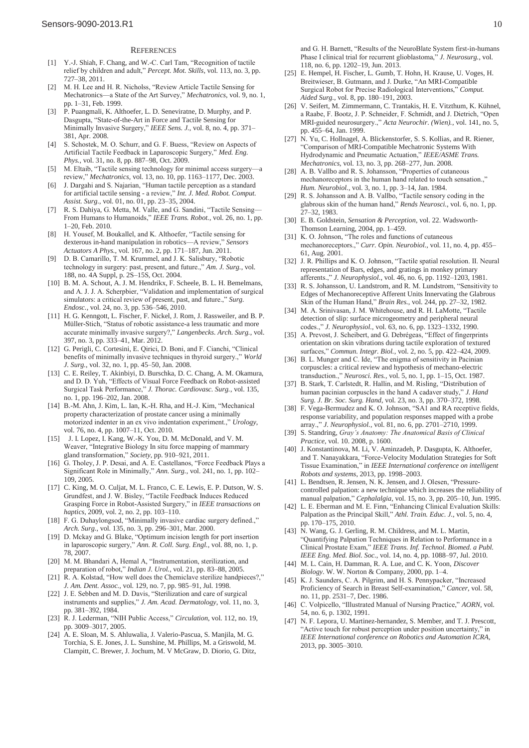#### **REFERENCES**

- [1] Y.-J. Shiah, F. Chang, and W.-C. Carl Tam, "Recognition of tactile relief by children and adult," *Percept. Mot. Skills*, vol. 113, no. 3, pp. 727–38, 2011.
- [2] M. H. Lee and H. R. Nicholss, "Review Article Tactile Sensing for Mechatronics—a State of the Art Survey," *Mechatronics*, vol. 9, no. 1, pp. 1–31, Feb. 1999.
- [3] P. Puangmali, K. Althoefer, L. D. Seneviratne, D. Murphy, and P. Dasgupta, "State-of-the-Art in Force and Tactile Sensing for Minimally Invasive Surgery," *IEEE Sens. J.*, vol. 8, no. 4, pp. 371– 381, Apr. 2008.
- [4] S. Schostek, M. O. Schurr, and G. F. Buess, "Review on Aspects of Artificial Tactile Feedback in Laparoscopic Surgery," *Med. Eng. Phys.*, vol. 31, no. 8, pp. 887–98, Oct. 2009.
- M. Eltaib, "Tactile sensing technology for minimal access surgery--review," *Mechatronics*, vol. 13, no. 10, pp. 1163–1177, Dec. 2003.
- [6] J. Dargahi and S. Najarian, "Human tactile perception as a standard for artificial tactile sensing - a review," *Int. J. Med. Robot. Comput. Assist. Surg.*, vol. 01, no. 01, pp. 23–35, 2004.
- [7] R. S. Dahiya, G. Metta, M. Valle, and G. Sandini, "Tactile Sensing-From Humans to Humanoids," *IEEE Trans. Robot.*, vol. 26, no. 1, pp. 1–20, Feb. 2010.
- [8] H. Yousef, M. Boukallel, and K. Althoefer, "Tactile sensing for dexterous in-hand manipulation in robotics—A review," *Sensors Actuators A Phys.*, vol. 167, no. 2, pp. 171–187, Jun. 2011.
- [9] D. B. Camarillo, T. M. Krummel, and J. K. Salisbury, "Robotic technology in surgery: past, present, and future.," *Am. J. Surg.*, vol. 188, no. 4A Suppl, p. 2S–15S, Oct. 2004.
- [10] B. M. A. Schout, A. J. M. Hendrikx, F. Scheele, B. L. H. Bemelmans, and A. J. J. A. Scherpbier, "Validation and implementation of surgical simulators: a critical review of present, past, and future.<sup>"</sup> *Surg. Endosc.*, vol. 24, no. 3, pp. 536–546, 2010.
- [11] H. G. Kenngott, L. Fischer, F. Nickel, J. Rom, J. Rassweiler, and B. P. Müller-Stich, "Status of robotic assistance-a less traumatic and more accurate minimally invasive surgery?," *Langenbecks. Arch. Surg.*, vol. 397, no. 3, pp. 333–41, Mar. 2012.
- [12] G. Perigli, C. Cortesini, E. Qirici, D. Boni, and F. Cianchi, "Clinical benefits of minimally invasive techniques in thyroid surgery.," *World J. Surg.*, vol. 32, no. 1, pp. 45–50, Jan. 2008.
- [13] C. E. Reiley, T. Akinbiyi, D. Burschka, D. C. Chang, A. M. Okamura, and D. D. Yuh, "Effects of Visual Force Feedback on Robot-assisted Surgical Task Performance," *J. Thorac. Cardiovasc. Surg.*, vol. 135, no. 1, pp. 196–202, Jan. 2008.
- [14] B.-M. Ahn, J. Kim, L. Ian, K.-H. Rha, and H.-J. Kim, "Mechanical property characterization of prostate cancer using a minimally motorized indenter in an ex vivo indentation experiment.," *Urology*, vol. 76, no. 4, pp. 1007–11, Oct. 2010.
- [15] J. I. Lopez, I. Kang, W.-K. You, D. M. McDonald, and V. M. Weaver, "Integrative Biology In situ force mapping of mammary gland transformation," *Society*, pp. 910–921, 2011.
- [16] G. Tholey, J. P. Desai, and A. E. Castellanos, "Force Feedback Plays a Significant Role in Minimally," *Ann. Surg.*, vol. 241, no. 1, pp. 102– 109, 2005.
- [17] C. King, M. O. Culjat, M. L. Franco, C. E. Lewis, E. P. Dutson, W. S. Grundfest, and J. W. Bisley, "Tactile Feedback Induces Reduced Grasping Force in Robot-Assisted Surgery," in *IEEE transactions on haptics*, 2009, vol. 2, no. 2, pp. 103–110.
- [18] F. G. Duhaylongsod, "Minimally invasive cardiac surgery defined.," *Arch. Surg.*, vol. 135, no. 3, pp. 296–301, Mar. 2000.
- [19] D. Mckay and G. Blake, "Optimum incision length for port insertion in laparoscopic surgery," *Ann. R. Coll. Surg. Engl.*, vol. 88, no. 1, p. 78, 2007.
- [20] M. M. Bhandari A, Hemal A, "Instrumentation, sterilization, and preparation of robot," *Indian J. Urol.*, vol. 21, pp. 83–88, 2005.
- [21] R. A. Kolstad, "How well does the Chemiclave sterilize handpieces?," *J. Am. Dent. Assoc.*, vol. 129, no. 7, pp. 985–91, Jul. 1998.
- [22] J. E. Sebben and M. D. Davis, "Sterilization and care of surgical instruments and supplies," *J. Am. Acad. Dermatology*, vol. 11, no. 3, pp. 381–392, 1984.
- [23] R. J. Lederman, "NIH Public Access," *Circulation*, vol. 112, no. 19, pp. 3009–3017, 2005.
- [24] A. E. Sloan, M. S. Ahluwalia, J. Valerio-Pascua, S. Manjila, M. G. Torchia, S. E. Jones, J. L. Sunshine, M. Phillips, M. a Griswold, M. Clampitt, C. Brewer, J. Jochum, M. V McGraw, D. Diorio, G. Ditz,

and G. H. Barnett, "Results of the NeuroBlate System first-in-humans Phase I clinical trial for recurrent glioblastoma," *J. Neurosurg.*, vol. 118, no. 6, pp. 1202–19, Jun. 2013.

- [25] E. Hempel, H. Fischer, L. Gumb, T. Hohn, H. Krause, U. Voges, H. Breitwieser, B. Gutmann, and J. Durke, "An MRI-Compatible Surgical Robot for Precise Radiological Interventions," *Comput. Aided Surg.*, vol. 8, pp. 180–191, 2003.
- [26] V. Seifert, M. Zimmermann, C. Trantakis, H. E. Vitzthum, K. Kühnel, a Raabe, F. Bootz, J. P. Schneider, F. Schmidt, and J. Dietrich, "Open MRI-guided neurosurgery.," *Acta Neurochir. (Wien).*, vol. 141, no. 5, pp. 455–64, Jan. 1999.
- [27] N. Yu, C. Hollnagel, A. Blickenstorfer, S. S. Kollias, and R. Riener, "Comparison of MRI-Compatible Mechatronic Systems With Hydrodynamic and Pneumatic Actuation," *IEEE/ASME Trans. Mechatronics*, vol. 13, no. 3, pp. 268–277, Jun. 2008.
- [28] A. B. Vallbo and R. S. Johansson, "Properties of cutaneous mechanoreceptors in the human hand related to touch sensation.," *Hum. Neurobiol.*, vol. 3, no. 1, pp. 3–14, Jan. 1984.
- [29] R. S. Johansson and A. B. Vallbo, "Tactile sensory coding in the glabrous skin of the human hand," *Rends Neurosci.*, vol. 6, no. 1, pp. 27–32, 1983.
- [30] E. B. Goldstein, *Sensation & Perception*, vol. 22. Wadsworth-Thomson Learning, 2004, pp. 1–459.
- [31] K. O. Johnson, "The roles and functions of cutaneous mechanoreceptors.," *Curr. Opin. Neurobiol.*, vol. 11, no. 4, pp. 455– 61, Aug. 2001.
- [32] J. R. Phillips and K. O. Johnson, "Tactile spatial resolution. II. Neural representation of Bars, edges, and gratings in monkey primary afferents.," *J. Neurophysiol.*, vol. 46, no. 6, pp. 1192–1203, 1981.
- [33] R. S. Johansson, U. Landstrom, and R. M. Lundstrom, "Sensitivity to Edges of Mechanoreceptive Afferent Units Innervating the Glabrous Skin of the Human Hand," *Brain Res.*, vol. 244, pp. 27–32, 1982.
- [34] M. A. Srinivasan, J. M. Whitehouse, and R. H. LaMotte, "Tactile detection of slip: surface microgeometry and peripheral neural codes.," *J. Neurophysiol.*, vol. 63, no. 6, pp. 1323–1332, 1990.
- [35] A. Prevost, J. Scheibert, and G. Debrégeas, "Effect of fingerprints orientation on skin vibrations during tactile exploration of textured surfaces," *Commun. Integr. Biol.*, vol. 2, no. 5, pp. 422–424, 2009.
- [36] B. L. Munger and C. Ide, "The enigma of sensitivity in Pacinian corpuscles: a critical review and hypothesis of mechano-electric transduction.," *Neurosci. Res.*, vol. 5, no. 1, pp. 1–15, Oct. 1987.
- [37] B. Stark, T. Carlstedt, R. Hallin, and M. Risling, "Distribution of human pacinian corpuscles in the hand A cadaver study," *J. Hand Surg. J. Br. Soc. Surg. Hand*, vol. 23, no. 3, pp. 370–372, 1998.
- [38] F. Vega-Bermudez and K. O. Johnson, "SA1 and RA receptive fields, response variability, and population responses mapped with a probe array.," *J. Neurophysiol.*, vol. 81, no. 6, pp. 2701–2710, 1999.
- [39] S. Standring, *Gray's Anatomy: The Anatomical Basis of Clinical Practice*, vol. 10. 2008, p. 1600.
- [40] J. Konstantinova, M. Li, V. Aminzadeh, P. Dasgupta, K. Althoefer, and T. Nanayakkara, "Force-Velocity Modulation Strategies for Soft Tissue Examination," in *IEEE International conference on intelligent Robots and systems*, 2013, pp. 1998–2003.
- [41] L. Bendtsen, R. Jensen, N. K. Jensen, and J. Olesen, "Pressurecontrolled palpation: a new technique which increases the reliability of manual palpation," *Cephalalgia*, vol. 15, no. 3, pp. 205–10, Jun. 1995.
- [42] L. E. Eberman and M. E. Finn, "Enhancing Clinical Evaluation Skills: Palpation as the Principal Skill," *Athl. Train. Educ. J.*, vol. 5, no. 4, pp. 170–175, 2010.
- [43] N. Wang, G. J. Gerling, R. M. Childress, and M. L. Martin, "Quantifying Palpation Techniques in Relation to Performance in a Clinical Prostate Exam," *IEEE Trans. Inf. Technol. Biomed. a Publ. IEEE Eng. Med. Biol. Soc.*, vol. 14, no. 4, pp. 1088–97, Jul. 2010.
- [44] M. L. Cain, H. Damman, R. A. Lue, and C. K. Yoon, *Discover Biology*. W. W. Norton & Company, 2000, pp. 1–4.
- [45] K. J. Saunders, C. A. Pilgrim, and H. S. Pennypacker, "Increased Proficiency of Search in Breast Self-examination," *Cancer*, vol. 58, no. 11, pp. 2531–7, Dec. 1986.
- [46] C. Volpicello, "Illustrated Manual of Nursing Practice," *AORN*, vol. 54, no. 6, p. 1302, 1991.
- [47] N. F. Lepora, U. Martinez-hernandez, S. Member, and T. J. Prescott, "Active touch for robust perception under position uncertainty," in *IEEE International conference on Robotics and Automation ICRA*, 2013, pp. 3005–3010.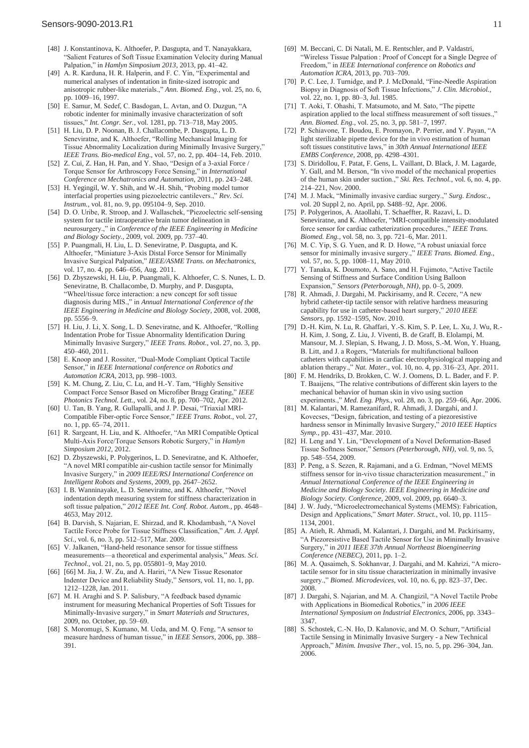- [48] J. Konstantinova, K. Althoefer, P. Dasgupta, and T. Nanayakkara, "Salient Features of Soft Tissue Examination Velocity during Manual Palpation," in *Hamlyn Simposium 2013*, 2013, pp. 41–42.
- [49] A. R. Karduna, H. R. Halperin, and F. C. Yin, "Experimental and numerical analyses of indentation in finite-sized isotropic and anisotropic rubber-like materials.," *Ann. Biomed. Eng.*, vol. 25, no. 6, pp. 1009–16, 1997.
- [50] E. Samur, M. Sedef, C. Basdogan, L. Avtan, and O. Duzgun, "A robotic indenter for minimally invasive characterization of soft tissues," *Int. Congr. Ser.*, vol. 1281, pp. 713–718, May 2005.
- [51] H. Liu, D. P. Noonan, B. J. Challacombe, P. Dasgupta, L. D. Seneviratne, and K. Althoefer, "Rolling Mechanical Imaging for Tissue Abnormality Localization during Minimally Invasive Surgery," *IEEE Trans. Bio-medical Eng.*, vol. 57, no. 2, pp. 404–14, Feb. 2010.
- [52] Z. Cui, Z. Han, H. Pan, and Y. Shao, "Design of a 3-axial Force / Torque Sensor for Arthroscopy Force Sensing," in *International Conference on Mechatronics and Automation*, 2011, pp. 243–248.
- [53] H. Yegingil, W. Y. Shih, and W.-H. Shih, "Probing model tumor interfacial properties using piezoelectric cantilevers.," *Rev. Sci. Instrum.*, vol. 81, no. 9, pp. 095104–9, Sep. 2010.
- [54] D. O. Uribe, R. Stroop, and J. Wallaschek, "Piezoelectric self-sensing system for tactile intraoperative brain tumor delineation in neurosurgery.," in *Conference of the IEEE Engineering in Medicine and Biology Society.*, 2009, vol. 2009, pp. 737–40.
- [55] P. Puangmali, H. Liu, L. D. Seneviratne, P. Dasgupta, and K. Althoefer, "Miniature 3-Axis Distal Force Sensor for Minimally Invasive Surgical Palpation," *IEEE/ASME Trans. on Mechatronics*, vol. 17, no. 4, pp. 646–656, Aug. 2011.
- [56] D. Zbyszewski, H. Liu, P. Puangmali, K. Althoefer, C. S. Nunes, L. D. Seneviratne, B. Challacombe, D. Murphy, and P. Dasgupta, "Wheel/tissue force interaction: a new concept for soft tissue diagnosis during MIS.," in *Annual International Conference of the IEEE Engineering in Medicine and Biology Society*, 2008, vol. 2008, pp. 5556–9.
- [57] H. Liu, J. Li, X. Song, L. D. Seneviratne, and K. Althoefer, "Rolling Indentation Probe for Tissue Abnormality Identification During Minimally Invasive Surgery," *IEEE Trans. Robot.*, vol. 27, no. 3, pp. 450–460, 2011.
- [58] E. Knoop and J. Rossiter, "Dual-Mode Compliant Optical Tactile Sensor," in *IEEE International conference on Robotics and Automation ICRA*, 2013, pp. 998–1003.
- [59] K. M. Chung, Z. Liu, C. Lu, and H.-Y. Tam, "Highly Sensitive Compact Force Sensor Based on Microfiber Bragg Grating," *IEEE Photonics Technol. Lett.*, vol. 24, no. 8, pp. 700–702, Apr. 2012.
- [60] U. Tan, B. Yang, R. Gullapalli, and J. P. Desai, "Triaxial MRI-Compatible Fiber-optic Force Sensor," *IEEE Trans. Robot.*, vol. 27, no. 1, pp. 65–74, 2011.
- [61] R. Sargeant, H. Liu, and K. Althoefer, "An MRI Compatible Optical Multi-Axis Force/Torque Sensors Robotic Surgery," in *Hamlyn Simposium 2012*, 2012.
- [62] D. Zbyszewski, P. Polygerinos, L. D. Seneviratne, and K. Althoefer, "A novel MRI compatible air-cushion tactile sensor for Minimally Invasive Surgery," in *2009 IEEE/RSJ International Conference on Intelligent Robots and Systems*, 2009, pp. 2647–2652.
- [63] I. B. Wanninayake, L. D. Seneviratne, and K. Althoefer, "Novel indentation depth measuring system for stiffness characterization in soft tissue palpation," *2012 IEEE Int. Conf. Robot. Autom.*, pp. 4648– 4653, May 2012.
- [64] B. Darvish, S. Najarian, E. Shirzad, and R. Khodambash, "A Novel Tactile Force Probe for Tissue Stiffness Classification," *Am. J. Appl. Sci.*, vol. 6, no. 3, pp. 512–517, Mar. 2009.
- [65] V. Jalkanen, "Hand-held resonance sensor for tissue stiffness measurements—a theoretical and experimental analysis," *Meas. Sci. Technol.*, vol. 21, no. 5, pp. 055801–9, May 2010.
- [66] [66] M. Jia, J. W. Zu, and A. Hariri, "A New Tissue Resonator Indenter Device and Reliability Study," *Sensors*, vol. 11, no. 1, pp. 1212–1228, Jan. 2011.
- [67] M. H. Araghi and S. P. Salisbury, "A feedback based dynamic instrument for measuring Mechanical Properties of Soft Tissues for Minimally-Invasive surgery," in *Smart Materials and Structures*, 2009, no. October, pp. 59–69.
- [68] S. Moromugi, S. Kumano, M. Ueda, and M. Q. Feng, "A sensor to measure hardness of human tissue," in *IEEE Sensors*, 2006, pp. 388– 391.
- [69] M. Beccani, C. Di Natali, M. E. Rentschler, and P. Valdastri, "Wireless Tissue Palpation : Proof of Concept for a Single Degree of Freedom," in *IEEE International conference on Robotics and Automation ICRA*, 2013, pp. 703–709.
- [70] P. C. Lee, J. Turnidge, and P. J. McDonald, "Fine-Needle Aspiration Biopsy in Diagnosis of Soft Tissue Infections," *J. Clin. Microbiol.*, vol. 22, no. 1, pp. 80–3, Jul. 1985.
- [71] T. Aoki, T. Ohashi, T. Matsumoto, and M. Sato, "The pipette aspiration applied to the local stiffness measurement of soft tissues.," *Ann. Biomed. Eng.*, vol. 25, no. 3, pp. 581–7, 1997.
- [72] P. Schiavone, T. Boudou, E. Promayon, P. Perrier, and Y. Payan, "A light sterilizable pipette device for the in vivo estimation of human soft tissues constitutive laws," in *30th Annual International IEEE EMBS Conference*, 2008, pp. 4298–4301.
- [73] S. Diridollou, F. Patat, F. Gens, L. Vaillant, D. Black, J. M. Lagarde, Y. Gall, and M. Berson, "In vivo model of the mechanical properties of the human skin under suction.," *Ski. Res. Technol.*, vol. 6, no. 4, pp. 214–221, Nov. 2000.
- [74] M. J. Mack, "Minimally invasive cardiac surgery.," *Surg. Endosc.*, vol. 20 Suppl 2, no. April, pp. S488–92, Apr. 2006.
- [75] P. Polygerinos, A. Ataollahi, T. Schaeffter, R. Razavi, L. D. Seneviratne, and K. Althoefer, "MRI-compatible intensity-modulated force sensor for cardiac catheterization procedures.," *IEEE Trans. Biomed. Eng.*, vol. 58, no. 3, pp. 721–6, Mar. 2011.
- [76] M. C. Yip, S. G. Yuen, and R. D. Howe, "A robust uniaxial force sensor for minimally invasive surgery.," *IEEE Trans. Biomed. Eng.*, vol. 57, no. 5, pp. 1008–11, May 2010.
- [77] Y. Tanaka, K. Doumoto, A. Sano, and H. Fujimoto, "Active Tactile Sensing of Stiffness and Surface Condition Using Balloon Expansion," *Sensors (Peterborough, NH)*, pp. 0–5, 2009.
- [78] R. Ahmadi, J. Dargahi, M. Packirisamy, and R. Cecere, "A new hybrid catheter-tip tactile sensor with relative hardness measuring capability for use in catheter-based heart surgery," *2010 IEEE Sensors*, pp. 1592–1595, Nov. 2010.
- [79] D.-H. Kim, N. Lu, R. Ghaffari, Y.-S. Kim, S. P. Lee, L. Xu, J. Wu, R.- H. Kim, J. Song, Z. Liu, J. Viventi, B. de Graff, B. Elolampi, M. Mansour, M. J. Slepian, S. Hwang, J. D. Moss, S.-M. Won, Y. Huang, B. Litt, and J. a Rogers, "Materials for multifunctional balloon catheters with capabilities in cardiac electrophysiological mapping and ablation therapy.," *Nat. Mater.*, vol. 10, no. 4, pp. 316–23, Apr. 2011.
- [80] F. M. Hendriks, D. Brokken, C. W. J. Oomens, D. L. Bader, and F. P. T. Baaijens, "The relative contributions of different skin layers to the mechanical behavior of human skin in vivo using suction experiments.," *Med. Eng. Phys.*, vol. 28, no. 3, pp. 259–66, Apr. 2006.
- [81] M. Kalantari, M. Ramezanifard, R. Ahmadi, J. Dargahi, and J. Kovecses, "Design, fabrication, and testing of a piezoresistive hardness sensor in Minimally Invasive Surgery," *2010 IEEE Haptics Symp.*, pp. 431–437, Mar. 2010.
- [82] H. Leng and Y. Lin, "Development of a Novel Deformation-Based Tissue Softness Sensor," *Sensors (Peterborough, NH)*, vol. 9, no. 5, pp. 548–554, 2009.
- [83] P. Peng, a S. Sezen, R. Rajamani, and a G. Erdman, "Novel MEMS stiffness sensor for in-vivo tissue characterization measurement..." in *Annual International Conference of the IEEE Engineering in Medicine and Biology Society. IEEE Engineering in Medicine and Biology Society. Conference*, 2009, vol. 2009, pp. 6640–3.
- [84] J. W. Judy, "Microelectromechanical Systems (MEMS): Fabrication, Design and Applications," *Smart Mater. Struct.*, vol. 10, pp. 1115– 1134, 2001.
- [85] A. Atieh, R. Ahmadi, M. Kalantari, J. Dargahi, and M. Packirisamy, "A Piezoresistive Based Tactile Sensor for Use in Minimally Invasive Surgery," in *2011 IEEE 37th Annual Northeast Bioengineering Conference (NEBEC)*, 2011, pp. 1–2.
- [86] M. A. Qasaimeh, S. Sokhanvar, J. Dargahi, and M. Kahrizi, "A microtactile sensor for in situ tissue characterization in minimally invasive surgery.," *Biomed. Microdevices*, vol. 10, no. 6, pp. 823–37, Dec. 2008.
- [87] J. Dargahi, S. Najarian, and M. A. Changizil, "A Novel Tactile Probe with Applications in Biomedical Robotics," in *2006 IEEE International Symposium on Industrial Electronics*, 2006, pp. 3343– 3347.
- [88] S. Schostek, C.-N. Ho, D. Kalanovic, and M. O. Schurr, "Artificial Tactile Sensing in Minimally Invasive Surgery - a New Technical Approach," *Minim. Invasive Ther.*, vol. 15, no. 5, pp. 296–304, Jan. 2006.